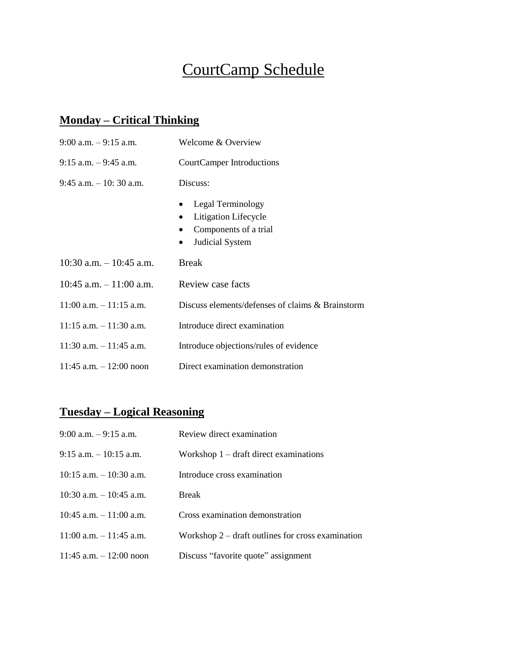# CourtCamp Schedule

### **Monday – Critical Thinking**

| $9:00$ a.m. $-9:15$ a.m.   | Welcome & Overview                                                                                 |
|----------------------------|----------------------------------------------------------------------------------------------------|
| $9:15$ a.m. $-9:45$ a.m.   | CourtCamper Introductions                                                                          |
| $9:45$ a.m. $-10:30$ a.m.  | Discuss:                                                                                           |
|                            | Legal Terminology<br>Litigation Lifecycle<br>Components of a trial<br>Judicial System<br>$\bullet$ |
| 10:30 a.m. $-10:45$ a.m.   | <b>Break</b>                                                                                       |
| $10:45$ a.m. $-11:00$ a.m. | Review case facts                                                                                  |
| $11:00$ a.m. $-11:15$ a.m. | Discuss elements/defenses of claims & Brainstorm                                                   |
| $11:15$ a.m. $-11:30$ a.m. | Introduce direct examination                                                                       |
| $11:30$ a.m. $-11:45$ a.m. | Introduce objections/rules of evidence                                                             |
| $11:45$ a.m. $-12:00$ noon | Direct examination demonstration                                                                   |

## **Tuesday – Logical Reasoning**

| $9:00$ a.m. $-9:15$ a.m.   | Review direct examination                           |
|----------------------------|-----------------------------------------------------|
| $9:15$ a.m. $-10:15$ a.m.  | Workshop $1 -$ draft direct examinations            |
| $10:15$ a.m. $-10:30$ a.m. | Introduce cross examination                         |
| $10:30$ a.m. $-10:45$ a.m. | <b>Break</b>                                        |
| $10:45$ a.m. $-11:00$ a.m. | Cross examination demonstration                     |
| $11:00$ a.m. $-11:45$ a.m. | Workshop $2$ – draft outlines for cross examination |
| $11:45$ a.m. $-12:00$ noon | Discuss "favorite quote" assignment                 |